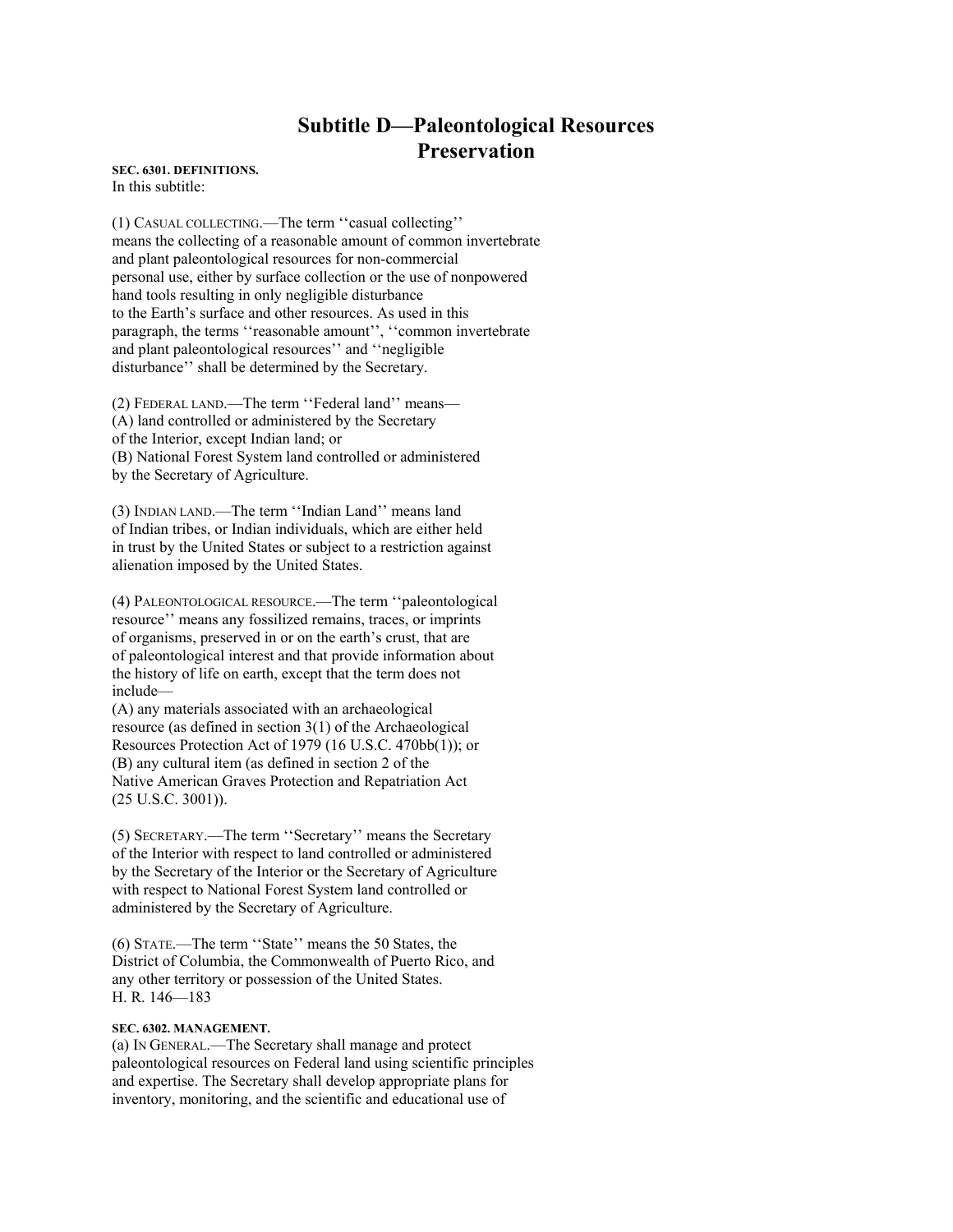# **Subtitle D—Paleontological Resources Preservation**

**SEC. 6301. DEFINITIONS.** In this subtitle:

(1) CASUAL COLLECTING.—The term ''casual collecting'' means the collecting of a reasonable amount of common invertebrate and plant paleontological resources for non-commercial personal use, either by surface collection or the use of nonpowered hand tools resulting in only negligible disturbance to the Earth's surface and other resources. As used in this paragraph, the terms ''reasonable amount'', ''common invertebrate and plant paleontological resources'' and ''negligible disturbance'' shall be determined by the Secretary.

(2) FEDERAL LAND.—The term ''Federal land'' means— (A) land controlled or administered by the Secretary of the Interior, except Indian land; or (B) National Forest System land controlled or administered by the Secretary of Agriculture.

(3) INDIAN LAND.—The term ''Indian Land'' means land of Indian tribes, or Indian individuals, which are either held in trust by the United States or subject to a restriction against alienation imposed by the United States.

(4) PALEONTOLOGICAL RESOURCE.—The term ''paleontological resource'' means any fossilized remains, traces, or imprints of organisms, preserved in or on the earth's crust, that are of paleontological interest and that provide information about the history of life on earth, except that the term does not include—

(A) any materials associated with an archaeological resource (as defined in section 3(1) of the Archaeological Resources Protection Act of 1979 (16 U.S.C. 470bb(1)); or (B) any cultural item (as defined in section 2 of the Native American Graves Protection and Repatriation Act (25 U.S.C. 3001)).

(5) SECRETARY.—The term ''Secretary'' means the Secretary of the Interior with respect to land controlled or administered by the Secretary of the Interior or the Secretary of Agriculture with respect to National Forest System land controlled or administered by the Secretary of Agriculture.

(6) STATE.—The term ''State'' means the 50 States, the District of Columbia, the Commonwealth of Puerto Rico, and any other territory or possession of the United States. H. R. 146—183

#### **SEC. 6302. MANAGEMENT.**

(a) IN GENERAL.—The Secretary shall manage and protect paleontological resources on Federal land using scientific principles and expertise. The Secretary shall develop appropriate plans for inventory, monitoring, and the scientific and educational use of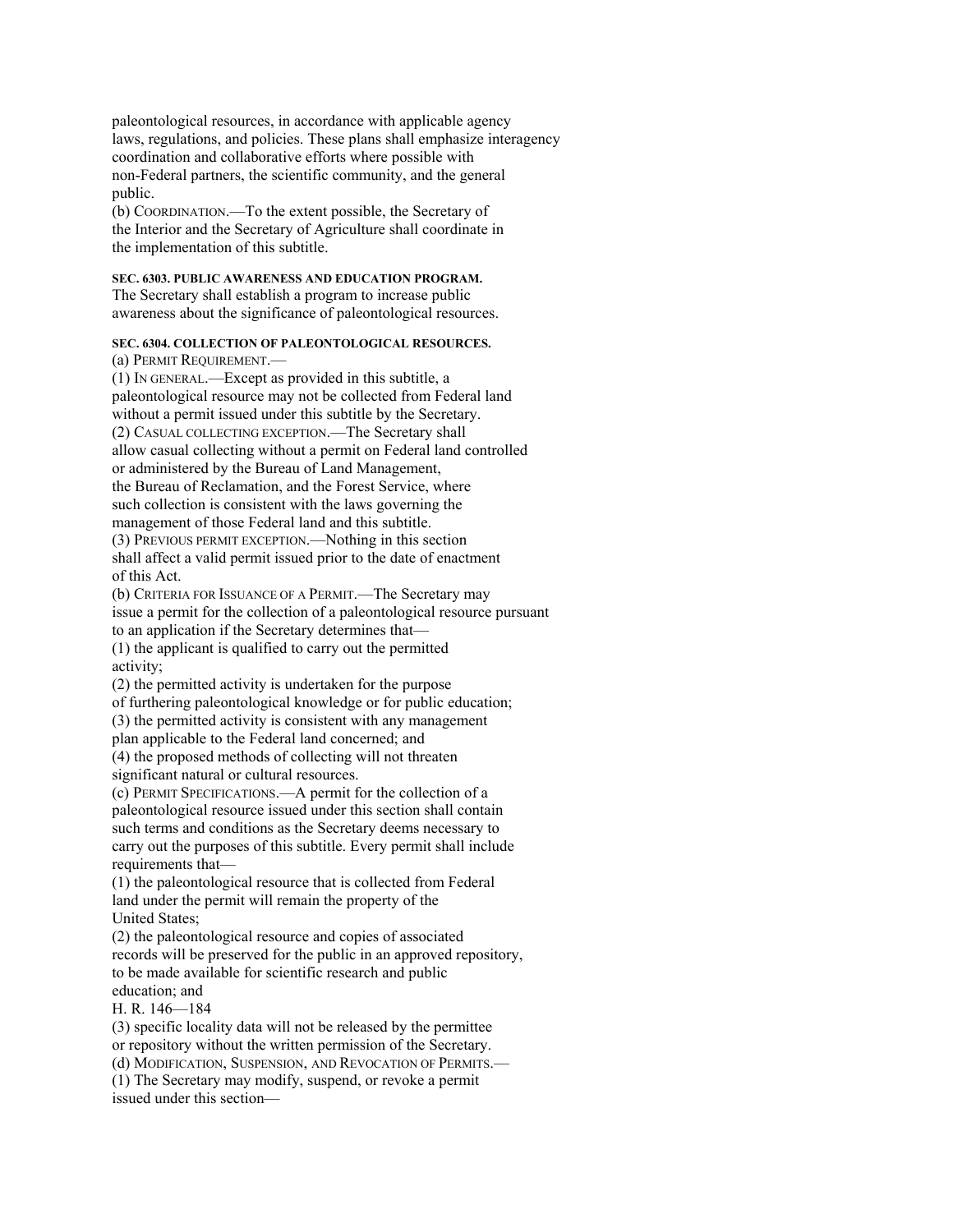paleontological resources, in accordance with applicable agency laws, regulations, and policies. These plans shall emphasize interagency coordination and collaborative efforts where possible with non-Federal partners, the scientific community, and the general public.

(b) COORDINATION.—To the extent possible, the Secretary of the Interior and the Secretary of Agriculture shall coordinate in the implementation of this subtitle.

## **SEC. 6303. PUBLIC AWARENESS AND EDUCATION PROGRAM.**

The Secretary shall establish a program to increase public awareness about the significance of paleontological resources.

## **SEC. 6304. COLLECTION OF PALEONTOLOGICAL RESOURCES.**

(a) PERMIT REQUIREMENT.—

(1) IN GENERAL.—Except as provided in this subtitle, a paleontological resource may not be collected from Federal land without a permit issued under this subtitle by the Secretary. (2) CASUAL COLLECTING EXCEPTION.—The Secretary shall allow casual collecting without a permit on Federal land controlled or administered by the Bureau of Land Management, the Bureau of Reclamation, and the Forest Service, where such collection is consistent with the laws governing the management of those Federal land and this subtitle. (3) PREVIOUS PERMIT EXCEPTION.—Nothing in this section shall affect a valid permit issued prior to the date of enactment of this Act.

(b) CRITERIA FOR ISSUANCE OF A PERMIT.—The Secretary may issue a permit for the collection of a paleontological resource pursuant to an application if the Secretary determines that— (1) the applicant is qualified to carry out the permitted

activity;

(2) the permitted activity is undertaken for the purpose of furthering paleontological knowledge or for public education; (3) the permitted activity is consistent with any management

plan applicable to the Federal land concerned; and

(4) the proposed methods of collecting will not threaten significant natural or cultural resources.

(c) PERMIT SPECIFICATIONS.—A permit for the collection of a paleontological resource issued under this section shall contain such terms and conditions as the Secretary deems necessary to carry out the purposes of this subtitle. Every permit shall include requirements that—

(1) the paleontological resource that is collected from Federal land under the permit will remain the property of the United States;

(2) the paleontological resource and copies of associated records will be preserved for the public in an approved repository, to be made available for scientific research and public education; and

H. R. 146—184

(3) specific locality data will not be released by the permittee or repository without the written permission of the Secretary. (d) MODIFICATION, SUSPENSION, AND REVOCATION OF PERMITS.— (1) The Secretary may modify, suspend, or revoke a permit issued under this section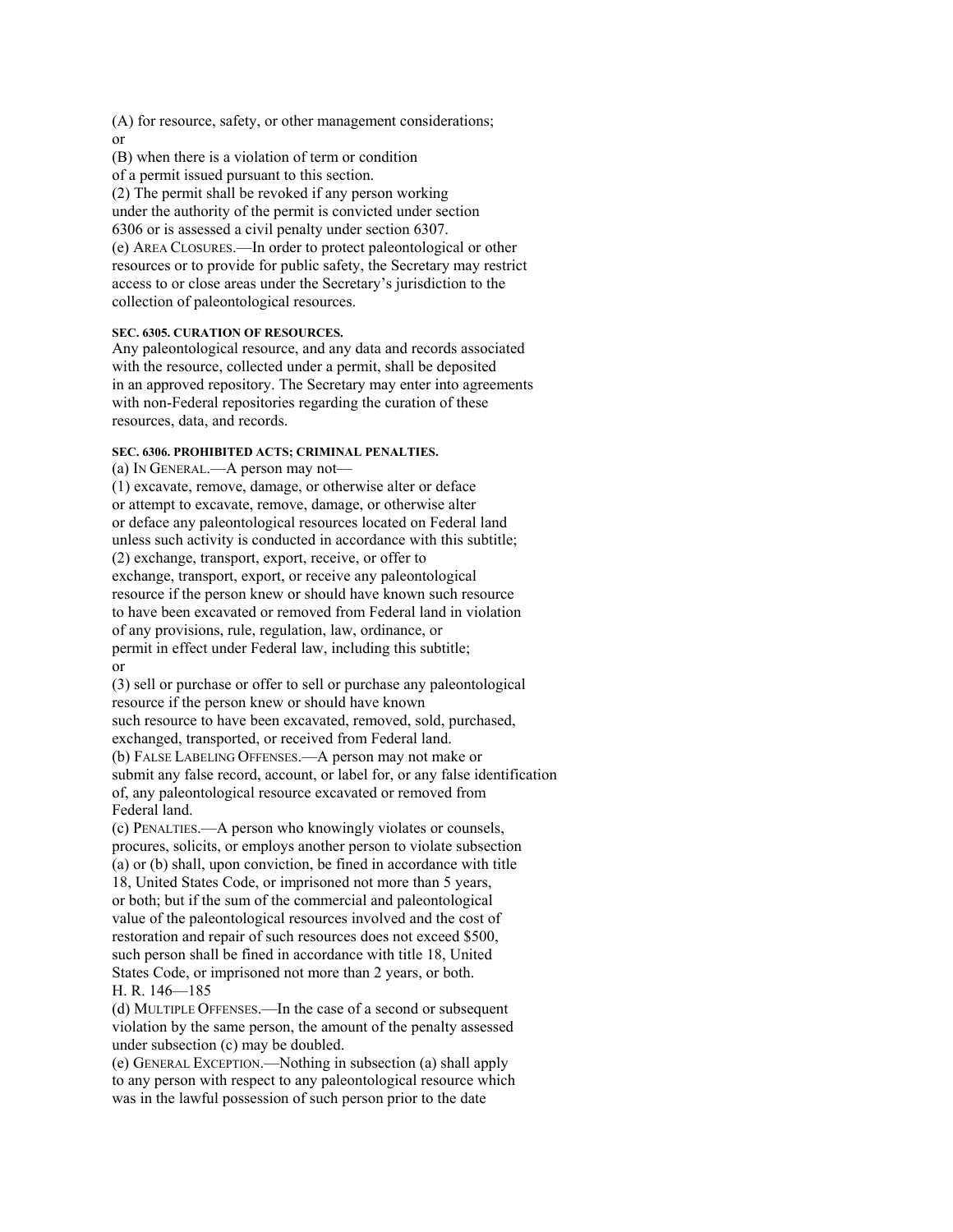(A) for resource, safety, or other management considerations; or

(B) when there is a violation of term or condition of a permit issued pursuant to this section. (2) The permit shall be revoked if any person working under the authority of the permit is convicted under section 6306 or is assessed a civil penalty under section 6307. (e) AREA CLOSURES.—In order to protect paleontological or other resources or to provide for public safety, the Secretary may restrict access to or close areas under the Secretary's jurisdiction to the collection of paleontological resources.

## **SEC. 6305. CURATION OF RESOURCES.**

Any paleontological resource, and any data and records associated with the resource, collected under a permit, shall be deposited in an approved repository. The Secretary may enter into agreements with non-Federal repositories regarding the curation of these resources, data, and records.

#### **SEC. 6306. PROHIBITED ACTS; CRIMINAL PENALTIES.**

(a) IN GENERAL.—A person may not—

(1) excavate, remove, damage, or otherwise alter or deface or attempt to excavate, remove, damage, or otherwise alter or deface any paleontological resources located on Federal land unless such activity is conducted in accordance with this subtitle; (2) exchange, transport, export, receive, or offer to exchange, transport, export, or receive any paleontological resource if the person knew or should have known such resource to have been excavated or removed from Federal land in violation of any provisions, rule, regulation, law, ordinance, or permit in effect under Federal law, including this subtitle; or

(3) sell or purchase or offer to sell or purchase any paleontological resource if the person knew or should have known such resource to have been excavated, removed, sold, purchased, exchanged, transported, or received from Federal land. (b) FALSE LABELING OFFENSES.—A person may not make or submit any false record, account, or label for, or any false identification of, any paleontological resource excavated or removed from Federal land.

(c) PENALTIES.—A person who knowingly violates or counsels, procures, solicits, or employs another person to violate subsection (a) or (b) shall, upon conviction, be fined in accordance with title 18, United States Code, or imprisoned not more than 5 years, or both; but if the sum of the commercial and paleontological value of the paleontological resources involved and the cost of restoration and repair of such resources does not exceed \$500, such person shall be fined in accordance with title 18, United States Code, or imprisoned not more than 2 years, or both. H. R. 146—185

(d) MULTIPLE OFFENSES.—In the case of a second or subsequent violation by the same person, the amount of the penalty assessed under subsection (c) may be doubled.

(e) GENERAL EXCEPTION.—Nothing in subsection (a) shall apply to any person with respect to any paleontological resource which was in the lawful possession of such person prior to the date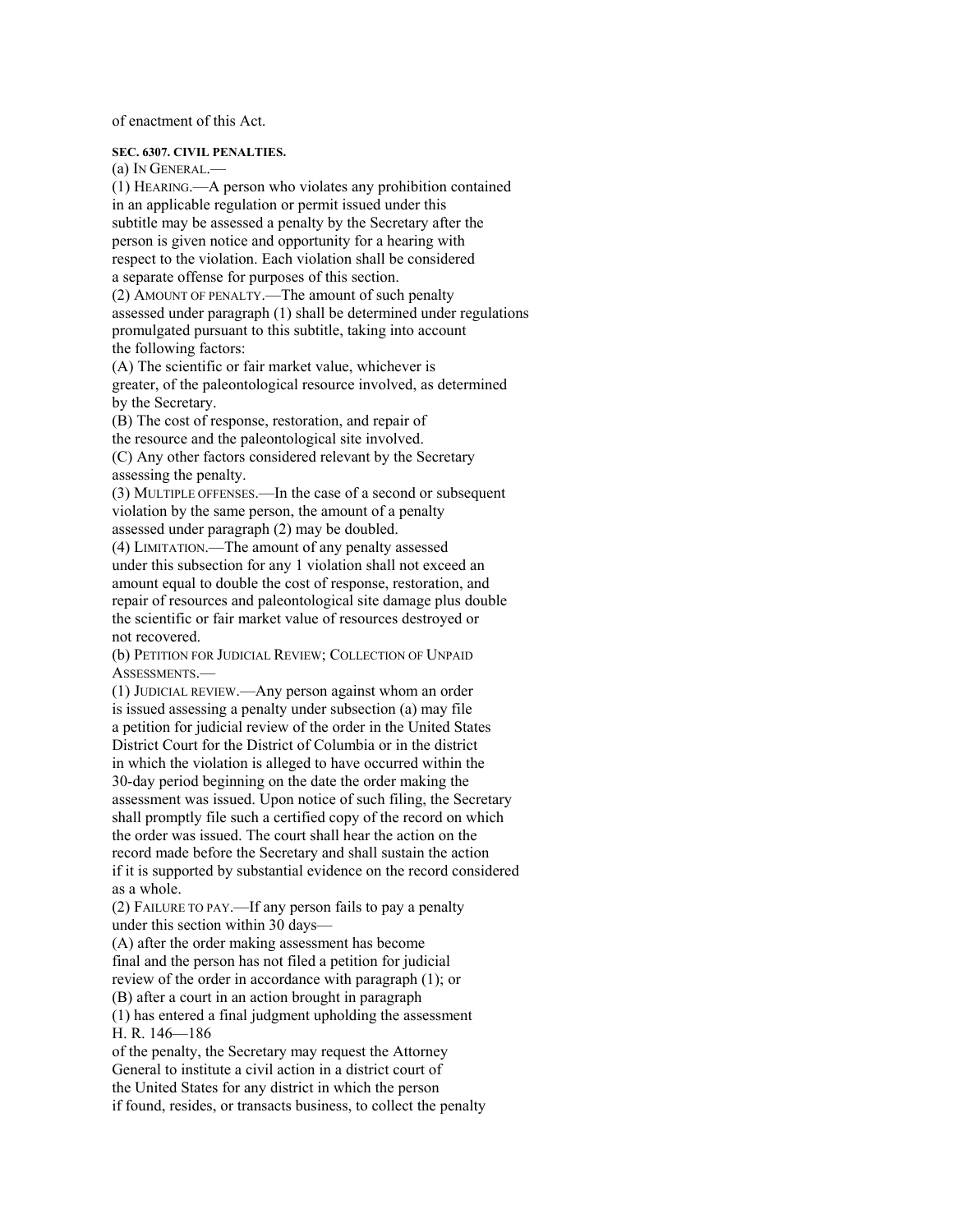of enactment of this Act.

#### **SEC. 6307. CIVIL PENALTIES.**

(a) IN GENERAL.— (1) HEARING.—A person who violates any prohibition contained in an applicable regulation or permit issued under this subtitle may be assessed a penalty by the Secretary after the person is given notice and opportunity for a hearing with respect to the violation. Each violation shall be considered a separate offense for purposes of this section. (2) AMOUNT OF PENALTY.—The amount of such penalty assessed under paragraph (1) shall be determined under regulations promulgated pursuant to this subtitle, taking into account the following factors:

(A) The scientific or fair market value, whichever is greater, of the paleontological resource involved, as determined by the Secretary.

(B) The cost of response, restoration, and repair of the resource and the paleontological site involved. (C) Any other factors considered relevant by the Secretary assessing the penalty.

(3) MULTIPLE OFFENSES.—In the case of a second or subsequent violation by the same person, the amount of a penalty assessed under paragraph (2) may be doubled.

(4) LIMITATION.—The amount of any penalty assessed under this subsection for any 1 violation shall not exceed an amount equal to double the cost of response, restoration, and repair of resources and paleontological site damage plus double the scientific or fair market value of resources destroyed or not recovered.

(b) PETITION FOR JUDICIAL REVIEW; COLLECTION OF UNPAID ASSESSMENTS.—

(1) JUDICIAL REVIEW.—Any person against whom an order is issued assessing a penalty under subsection (a) may file a petition for judicial review of the order in the United States District Court for the District of Columbia or in the district in which the violation is alleged to have occurred within the 30-day period beginning on the date the order making the assessment was issued. Upon notice of such filing, the Secretary shall promptly file such a certified copy of the record on which the order was issued. The court shall hear the action on the record made before the Secretary and shall sustain the action if it is supported by substantial evidence on the record considered as a whole.

(2) FAILURE TO PAY.—If any person fails to pay a penalty under this section within 30 days—

(A) after the order making assessment has become final and the person has not filed a petition for judicial review of the order in accordance with paragraph (1); or (B) after a court in an action brought in paragraph

(1) has entered a final judgment upholding the assessment H. R. 146—186

of the penalty, the Secretary may request the Attorney General to institute a civil action in a district court of the United States for any district in which the person if found, resides, or transacts business, to collect the penalty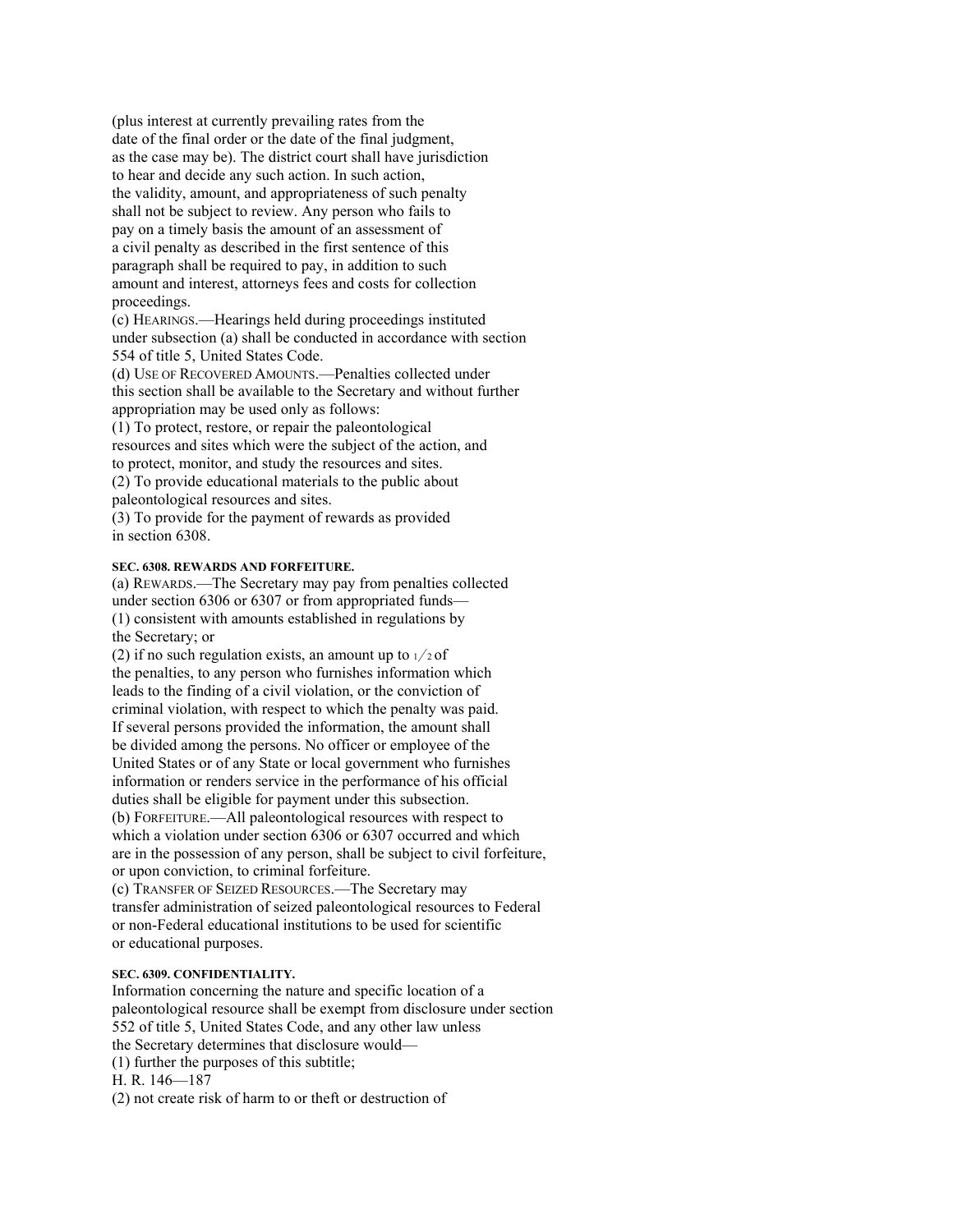(plus interest at currently prevailing rates from the date of the final order or the date of the final judgment, as the case may be). The district court shall have jurisdiction to hear and decide any such action. In such action, the validity, amount, and appropriateness of such penalty shall not be subject to review. Any person who fails to pay on a timely basis the amount of an assessment of a civil penalty as described in the first sentence of this paragraph shall be required to pay, in addition to such amount and interest, attorneys fees and costs for collection proceedings.

(c) HEARINGS.—Hearings held during proceedings instituted under subsection (a) shall be conducted in accordance with section 554 of title 5, United States Code.

(d) USE OF RECOVERED AMOUNTS.—Penalties collected under this section shall be available to the Secretary and without further appropriation may be used only as follows:

(1) To protect, restore, or repair the paleontological resources and sites which were the subject of the action, and to protect, monitor, and study the resources and sites. (2) To provide educational materials to the public about paleontological resources and sites.

(3) To provide for the payment of rewards as provided in section 6308.

# **SEC. 6308. REWARDS AND FORFEITURE.**

(a) REWARDS.—The Secretary may pay from penalties collected under section 6306 or 6307 or from appropriated funds— (1) consistent with amounts established in regulations by the Secretary; or

(2) if no such regulation exists, an amount up to  $1/2$  of the penalties, to any person who furnishes information which leads to the finding of a civil violation, or the conviction of criminal violation, with respect to which the penalty was paid. If several persons provided the information, the amount shall be divided among the persons. No officer or employee of the United States or of any State or local government who furnishes information or renders service in the performance of his official duties shall be eligible for payment under this subsection. (b) FORFEITURE.—All paleontological resources with respect to which a violation under section 6306 or 6307 occurred and which are in the possession of any person, shall be subject to civil forfeiture, or upon conviction, to criminal forfeiture.

(c) TRANSFER OF SEIZED RESOURCES.—The Secretary may transfer administration of seized paleontological resources to Federal or non-Federal educational institutions to be used for scientific or educational purposes.

#### **SEC. 6309. CONFIDENTIALITY.**

Information concerning the nature and specific location of a paleontological resource shall be exempt from disclosure under section 552 of title 5, United States Code, and any other law unless the Secretary determines that disclosure would— (1) further the purposes of this subtitle; H. R. 146—187

(2) not create risk of harm to or theft or destruction of